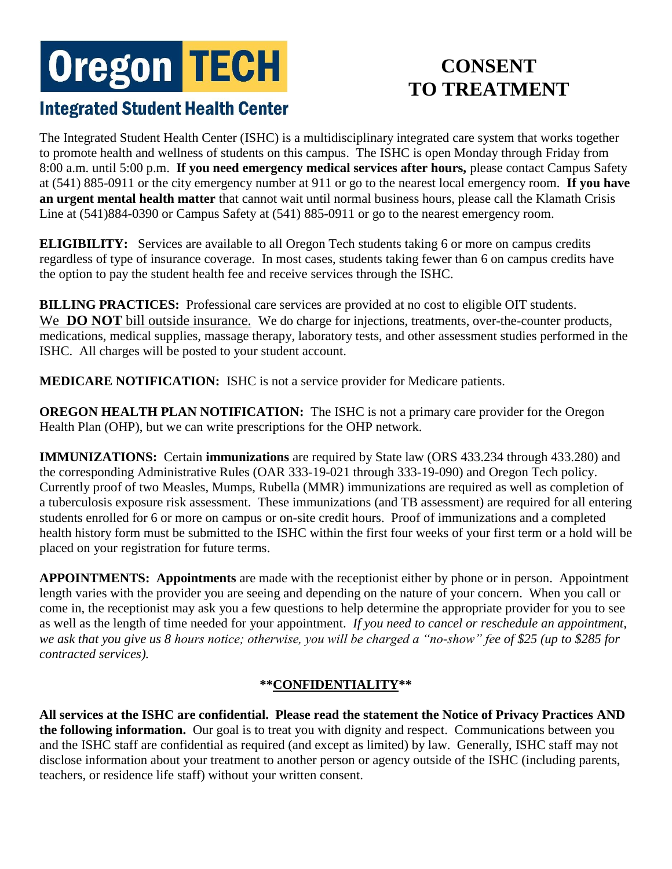# **Oregon TECH**

# **CONSENT TO TREATMENT**

# **Integrated Student Health Center**

The Integrated Student Health Center (ISHC) is a multidisciplinary integrated care system that works together to promote health and wellness of students on this campus. The ISHC is open Monday through Friday from 8:00 a.m. until 5:00 p.m. **If you need emergency medical services after hours,** please contact Campus Safety at (541) 885-0911 or the city emergency number at 911 or go to the nearest local emergency room. **If you have an urgent mental health matter** that cannot wait until normal business hours, please call the Klamath Crisis Line at (541)884-0390 or Campus Safety at (541) 885-0911 or go to the nearest emergency room.

**ELIGIBILITY:** Services are available to all Oregon Tech students taking 6 or more on campus credits regardless of type of insurance coverage. In most cases, students taking fewer than 6 on campus credits have the option to pay the student health fee and receive services through the ISHC.

**BILLING PRACTICES:** Professional care services are provided at no cost to eligible OIT students. We **DO NOT** bill outside insurance. We do charge for injections, treatments, over-the-counter products, medications, medical supplies, massage therapy, laboratory tests, and other assessment studies performed in the ISHC. All charges will be posted to your student account.

**MEDICARE NOTIFICATION:** ISHC is not a service provider for Medicare patients.

**OREGON HEALTH PLAN NOTIFICATION:** The ISHC is not a primary care provider for the Oregon Health Plan (OHP), but we can write prescriptions for the OHP network.

**IMMUNIZATIONS:** Certain **immunizations** are required by State law (ORS 433.234 through 433.280) and the corresponding Administrative Rules (OAR 333-19-021 through 333-19-090) and Oregon Tech policy. Currently proof of two Measles, Mumps, Rubella (MMR) immunizations are required as well as completion of a tuberculosis exposure risk assessment. These immunizations (and TB assessment) are required for all entering students enrolled for 6 or more on campus or on-site credit hours. Proof of immunizations and a completed health history form must be submitted to the ISHC within the first four weeks of your first term or a hold will be placed on your registration for future terms.

**APPOINTMENTS: Appointments** are made with the receptionist either by phone or in person. Appointment length varies with the provider you are seeing and depending on the nature of your concern. When you call or come in, the receptionist may ask you a few questions to help determine the appropriate provider for you to see as well as the length of time needed for your appointment. *If you need to cancel or reschedule an appointment, we ask that you give us 8 hours notice; otherwise, you will be charged a "no-show" fee of \$25 (up to \$285 for contracted services).* 

## **\*\*CONFIDENTIALITY\*\***

**All services at the ISHC are confidential. Please read the statement the Notice of Privacy Practices AND the following information.** Our goal is to treat you with dignity and respect. Communications between you and the ISHC staff are confidential as required (and except as limited) by law. Generally, ISHC staff may not disclose information about your treatment to another person or agency outside of the ISHC (including parents, teachers, or residence life staff) without your written consent.